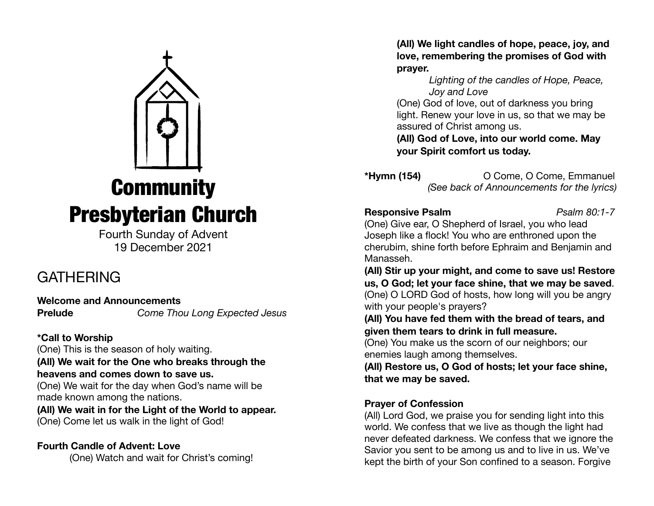

Fourth Sunday of Advent 19 December 2021

## **GATHERING**

**Welcome and Announcements Prelude** *Come Thou Long Expected Jesus*

**\*Call to Worship** 

(One) This is the season of holy waiting.

**(All) We wait for the One who breaks through the heavens and comes down to save us.** 

(One) We wait for the day when God's name will be made known among the nations.

**(All) We wait in for the Light of the World to appear.**  (One) Come let us walk in the light of God! 

**Fourth Candle of Advent: Love** 

(One) Watch and wait for Christ's coming!

**(All) We light candles of hope, peace, joy, and love, remembering the promises of God with prayer.** 

*Lighting of the candles of Hope, Peace, Joy and Love* 

(One) God of love, out of darkness you bring light. Renew your love in us, so that we may be assured of Christ among us.

**(All) God of Love, into our world come. May your Spirit comfort us today.** 

**\*Hymn (154)** O Come, O Come, Emmanuel *(See back of Announcements for the lyrics)* 

### **Responsive Psalm** *Psalm 80:1-7*

(One) Give ear, O Shepherd of Israel, you who lead Joseph like a flock! You who are enthroned upon the cherubim, shine forth before Ephraim and Benjamin and Manasseh.

**(All) Stir up your might, and come to save us! Restore us, O God; let your face shine, that we may be saved**. (One) O LORD God of hosts, how long will you be angry with your people's prayers?

**(All) You have fed them with the bread of tears, and given them tears to drink in full measure.**

(One) You make us the scorn of our neighbors; our enemies laugh among themselves.

**(All) Restore us, O God of hosts; let your face shine, that we may be saved.**

### **Prayer of Confession**

(All) Lord God, we praise you for sending light into this world. We confess that we live as though the light had never defeated darkness. We confess that we ignore the Savior you sent to be among us and to live in us. We've kept the birth of your Son confined to a season. Forgive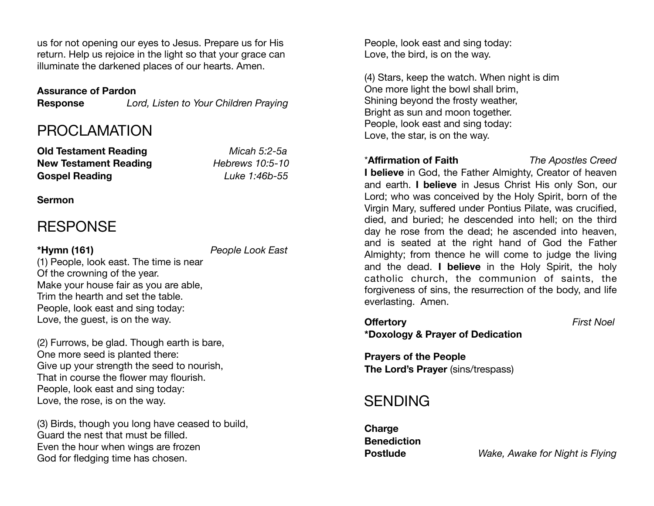us for not opening our eyes to Jesus. Prepare us for His return. Help us rejoice in the light so that your grace can illuminate the darkened places of our hearts. Amen.

### **Assurance of Pardon**

**Response** *Lord, Listen to Your Children Praying* 

### PROCLAMATION

**Old Testament Reading** *Micah 5:2-5a*  **New Testament Reading** *Hebrews 10:5-10*  **Gospel Reading** *Luke 1:46b-55*

### **Sermon**

## **RESPONSE**

**\*Hymn (161)** *People Look East*

(1) People, look east. The time is near Of the crowning of the year. Make your house fair as you are able, Trim the hearth and set the table. People, look east and sing today: Love, the guest, is on the way.

(2) Furrows, be glad. Though earth is bare, One more seed is planted there: Give up your strength the seed to nourish, That in course the flower may flourish. People, look east and sing today: Love, the rose, is on the way.

(3) Birds, though you long have ceased to build, Guard the nest that must be filled. Even the hour when wings are frozen God for fledging time has chosen.

People, look east and sing today: Love, the bird, is on the way.

(4) Stars, keep the watch. When night is dim One more light the bowl shall brim, Shining beyond the frosty weather, Bright as sun and moon together. People, look east and sing today: Love, the star, is on the way.

### \***Affirmation of Faith** *The Apostles Creed*

**I believe** in God, the Father Almighty, Creator of heaven and earth. **I believe** in Jesus Christ His only Son, our Lord; who was conceived by the Holy Spirit, born of the Virgin Mary, suffered under Pontius Pilate, was crucified, died, and buried; he descended into hell; on the third day he rose from the dead; he ascended into heaven, and is seated at the right hand of God the Father Almighty; from thence he will come to judge the living and the dead. **I believe** in the Holy Spirit, the holy catholic church, the communion of saints, the forgiveness of sins, the resurrection of the body, and life everlasting. Amen.

# **Offertory** *First Noel*

**\*Doxology & Prayer of Dedication** 

**Prayers of the People The Lord's Prayer** (sins/trespass)

### SENDING

**Charge Benediction** 

**Postlude** *Wake, Awake for Night is Flying*